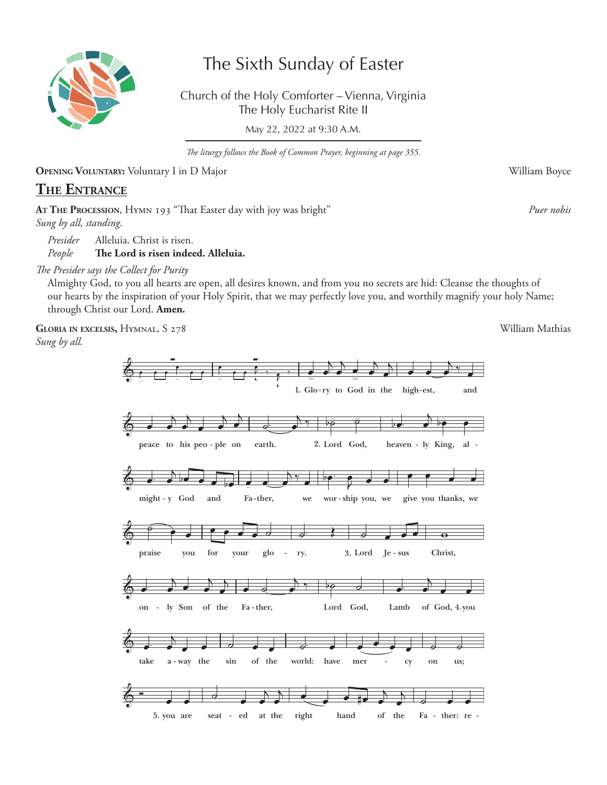

# The Sixth Sunday of Easter

Church of the Holy Comforter – Vienna, Virginia The Holy Eucharist Rite II

May 22, 2022 at 9:30 A.M.

*The liturgy follows the Book of Common Prayer, beginning at page 355.*

**OPENING VOLUNTARY:** Voluntary I in D Major William Boyce

## **The Entrance**

**At The Procession**, Hymn 193 "That Easter day with joy was bright" *Puer nobis Sung by all, standing.*

*Presider* Alleluia. Christ is risen. *People* **The Lord is risen indeed. Alleluia.**

*The Presider says the Collect for Purity*

Almighty God, to you all hearts are open, all desires known, and from you no secrets are hid: Cleanse the thoughts of our hearts by the inspiration of your Holy Spirit, that we may perfectly love you, and worthily magnify your holy Name; through Christ our Lord. **Amen***.*

**Gloria in excelsis,** Hymnal, S 278 William Mathias *Sung by all.*

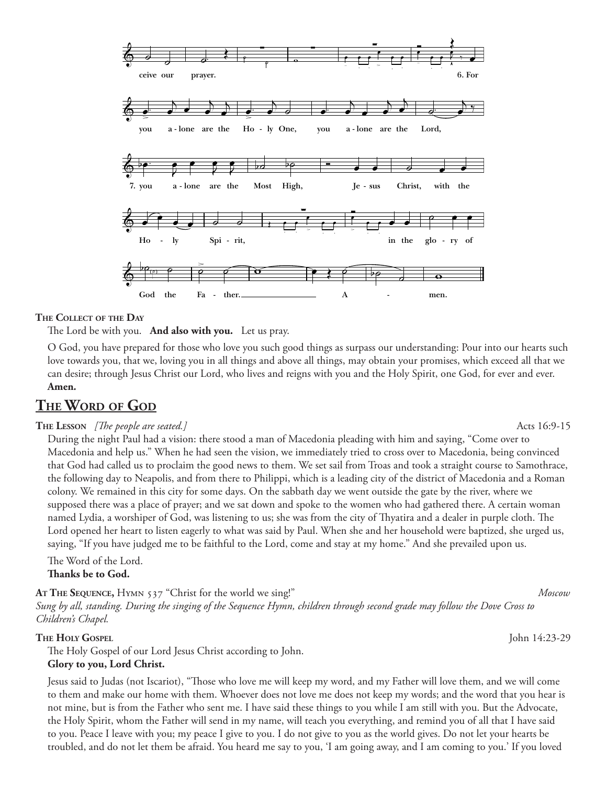

### THE COLLECT OF THE DAY

The Lord be with you. And also with you. Let us pray.

O God, you have prepared for those who love you such good things as surpass our understanding: Pour into our hearts such love towards you, that we, loving you in all things and above all things, may obtain your promises, which exceed all that we can desire; through Jesus Christ our Lord, who lives and reigns with you and the Holy Spirit, one God, for ever and ever. Amen.

## THE WORD OF GOD

### **THE LESSON** [The people are seated.]

During the night Paul had a vision: there stood a man of Macedonia pleading with him and saying, "Come over to Macedonia and help us." When he had seen the vision, we immediately tried to cross over to Macedonia, being convinced that God had called us to proclaim the good news to them. We set sail from Troas and took a straight course to Samothrace, the following day to Neapolis, and from there to Philippi, which is a leading city of the district of Macedonia and a Roman colony. We remained in this city for some days. On the sabbath day we went outside the gate by the river, where we supposed there was a place of prayer; and we sat down and spoke to the women who had gathered there. A certain woman named Lydia, a worshiper of God, was listening to us; she was from the city of Thyatira and a dealer in purple cloth. The Lord opened her heart to listen eagerly to what was said by Paul. When she and her household were baptized, she urged us, saying, "If you have judged me to be faithful to the Lord, come and stay at my home." And she prevailed upon us.

The Word of the Lord.

### Thanks be to God.

AT THE SEQUENCE, HYMN 537 "Christ for the world we sing!"

Sung by all, standing. During the singing of the Sequence Hymn, children through second grade may follow the Dove Cross to Children's Chapel.

### THE HOLY GOSPEL

The Holy Gospel of our Lord Jesus Christ according to John. Glory to you, Lord Christ.

Jesus said to Judas (not Iscariot), "Those who love me will keep my word, and my Father will love them, and we will come to them and make our home with them. Whoever does not love me does not keep my words; and the word that you hear is not mine, but is from the Father who sent me. I have said these things to you while I am still with you. But the Advocate, the Holy Spirit, whom the Father will send in my name, will teach you everything, and remind you of all that I have said to you. Peace I leave with you; my peace I give to you. I do not give to you as the world gives. Do not let your hearts be troubled, and do not let them be afraid. You heard me say to you, 'I am going away, and I am coming to you.' If you loved

Acts 16:9-15

Moscow

John 14:23-29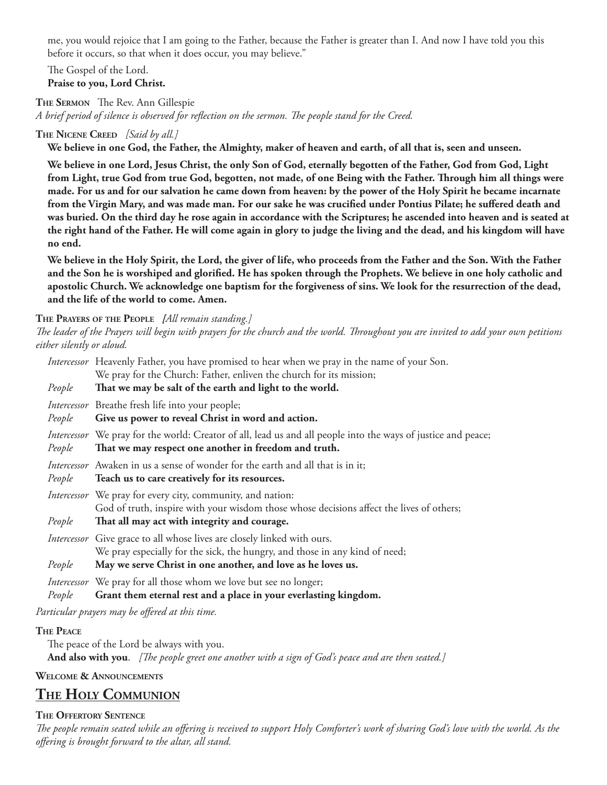me, you would rejoice that I am going to the Father, because the Father is greater than I. And now I have told you this before it occurs, so that when it does occur, you may believe."

The Gospel of the Lord. **Praise to you, Lord Christ.**

**The Sermon** The Rev. Ann Gillespie *A brief period of silence is observed for reflection on the sermon. The people stand for the Creed.*

### **The Nicene Creed** *[Said by all.]*

**We believe in one God, the Father, the Almighty, maker of heaven and earth, of all that is, seen and unseen.**

**We believe in one Lord, Jesus Christ, the only Son of God, eternally begotten of the Father, God from God, Light from Light, true God from true God, begotten, not made, of one Being with the Father. Through him all things were made. For us and for our salvation he came down from heaven: by the power of the Holy Spirit he became incarnate from the Virgin Mary, and was made man. For our sake he was crucified under Pontius Pilate; he suffered death and was buried. On the third day he rose again in accordance with the Scriptures; he ascended into heaven and is seated at the right hand of the Father. He will come again in glory to judge the living and the dead, and his kingdom will have no end.**

**We believe in the Holy Spirit, the Lord, the giver of life, who proceeds from the Father and the Son. With the Father and the Son he is worshiped and glorified. He has spoken through the Prophets. We believe in one holy catholic and apostolic Church. We acknowledge one baptism for the forgiveness of sins. We look for the resurrection of the dead, and the life of the world to come. Amen.**

**The Prayers of the People** *[All remain standing.]*

*The leader of the Prayers will begin with prayers for the church and the world. Throughout you are invited to add your own petitions either silently or aloud.*

*Intercessor* Heavenly Father, you have promised to hear when we pray in the name of your Son. We pray for the Church: Father, enliven the church for its mission; *People* **That we may be salt of the earth and light to the world.** *Intercessor* Breathe fresh life into your people; *People* **Give us power to reveal Christ in word and action.** *Intercessor* We pray for the world: Creator of all, lead us and all people into the ways of justice and peace; *People* **That we may respect one another in freedom and truth.** *Intercessor* Awaken in us a sense of wonder for the earth and all that is in it; *People* **Teach us to care creatively for its resources.** *Intercessor* We pray for every city, community, and nation: God of truth, inspire with your wisdom those whose decisions affect the lives of others; *People* **That all may act with integrity and courage.** *Intercessor* Give grace to all whose lives are closely linked with ours. We pray especially for the sick, the hungry, and those in any kind of need; *People* **May we serve Christ in one another, and love as he loves us.** *Intercessor* We pray for all those whom we love but see no longer; *People* **Grant them eternal rest and a place in your everlasting kingdom.**

*Particular prayers may be offered at this time.*

### **The Peace**

The peace of the Lord be always with you. **And also with you**. *[The people greet one another with a sign of God's peace and are then seated.]*

**Welcome & Announcements**

## **The Holy Communion**

### **The Offertory Sentence**

*The people remain seated while an offering is received to support Holy Comforter's work of sharing God's love with the world. As the offering is brought forward to the altar, all stand.*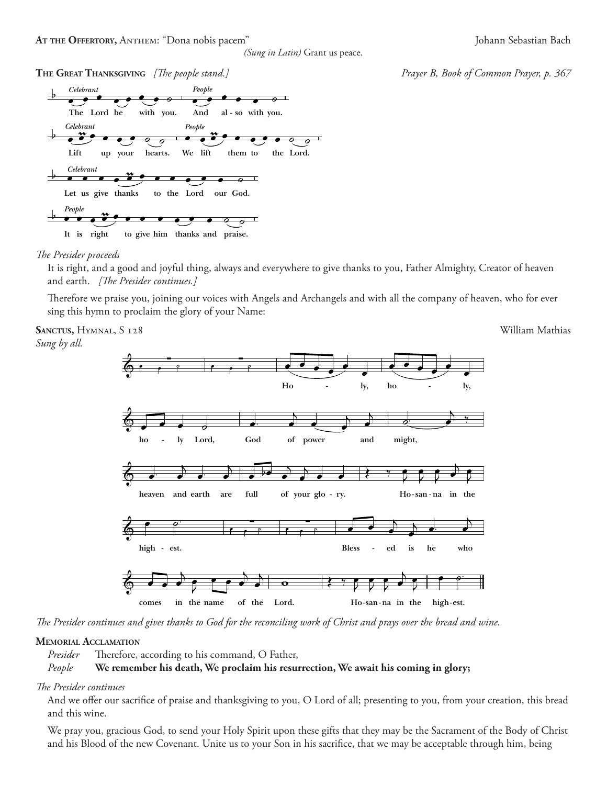*(Sung in Latin)* Grant us peace.

**The Great Thanksgiving** *[The people stand.] Prayer B, Book of Common Prayer, p. 367*



*The Presider proceeds*

It is right, and a good and joyful thing, always and everywhere to give thanks to you, Father Almighty, Creator of heaven and earth. *[The Presider continues.]*

Therefore we praise you, joining our voices with Angels and Archangels and with all the company of heaven, who for ever sing this hymn to proclaim the glory of your Name:

**Sanctus,** Hymnal, S 128 William Mathias *Sung by all.*



*The Presider continues and gives thanks to God for the reconciling work of Christ and prays over the bread and wine.*

### **Memorial Acclamation**

*Presider* Therefore, according to his command, O Father,

*People* **We remember his death, We proclaim his resurrection, We await his coming in glory;**

### *The Presider continues*

And we offer our sacrifice of praise and thanksgiving to you, O Lord of all; presenting to you, from your creation, this bread and this wine.

We pray you, gracious God, to send your Holy Spirit upon these gifts that they may be the Sacrament of the Body of Christ and his Blood of the new Covenant. Unite us to your Son in his sacrifice, that we may be acceptable through him, being